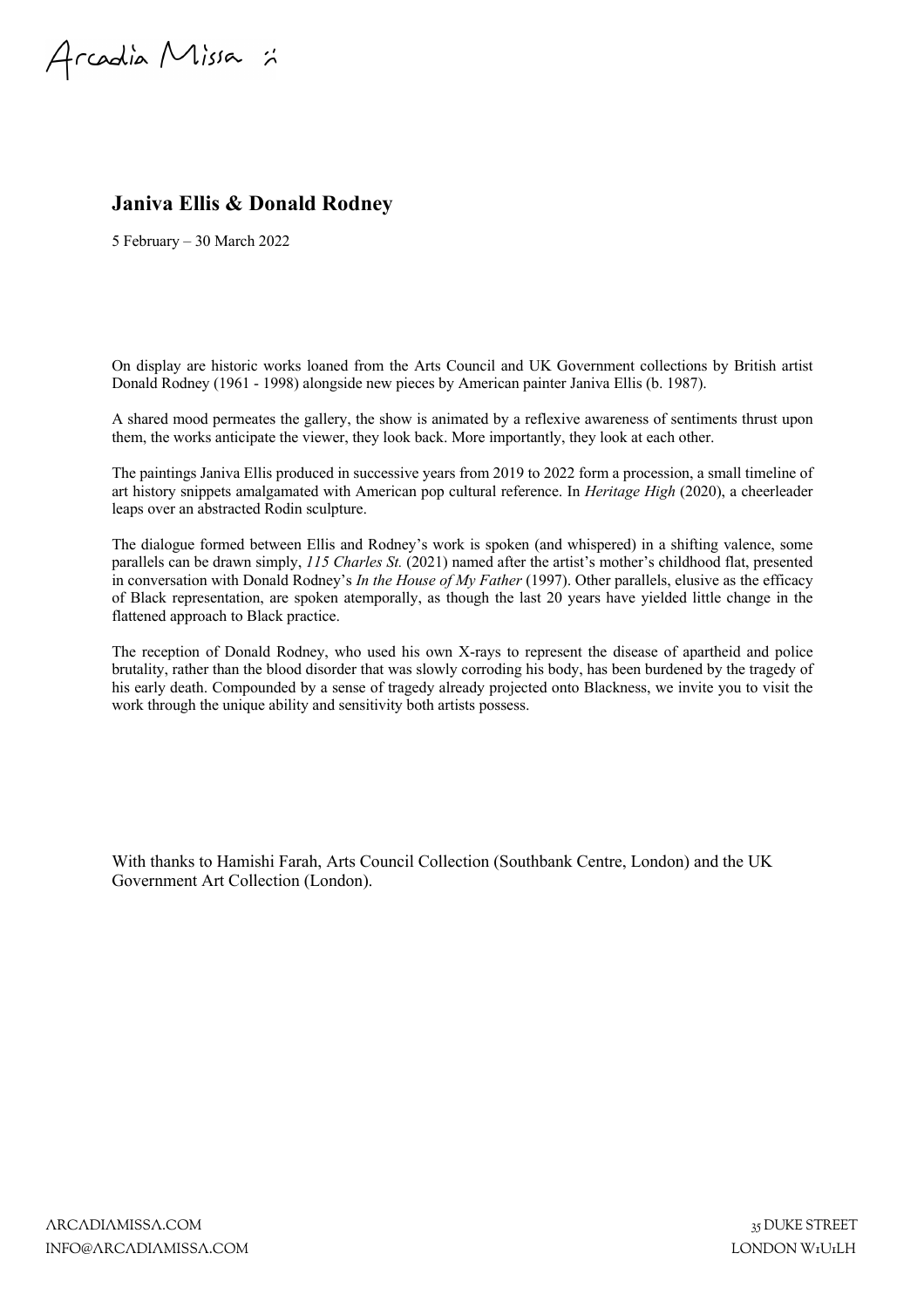Arcadia Missa :

# **Janiva Ellis & Donald Rodney**

5 February – 30 March 2022

On display are historic works loaned from the Arts Council and UK Government collections by British artist Donald Rodney (1961 - 1998) alongside new pieces by American painter Janiva Ellis (b. 1987).

A shared mood permeates the gallery, the show is animated by a reflexive awareness of sentiments thrust upon them, the works anticipate the viewer, they look back. More importantly, they look at each other.

The paintings Janiva Ellis produced in successive years from 2019 to 2022 form a procession, a small timeline of art history snippets amalgamated with American pop cultural reference. In *Heritage High* (2020), a cheerleader leaps over an abstracted Rodin sculpture.

The dialogue formed between Ellis and Rodney's work is spoken (and whispered) in a shifting valence, some parallels can be drawn simply, *115 Charles St.* (2021) named after the artist's mother's childhood flat, presented in conversation with Donald Rodney's *In the House of My Father* (1997). Other parallels, elusive as the efficacy of Black representation, are spoken atemporally, as though the last 20 years have yielded little change in the flattened approach to Black practice.

The reception of Donald Rodney, who used his own X-rays to represent the disease of apartheid and police brutality, rather than the blood disorder that was slowly corroding his body, has been burdened by the tragedy of his early death. Compounded by a sense of tragedy already projected onto Blackness, we invite you to visit the work through the unique ability and sensitivity both artists possess.

With thanks to Hamishi Farah, Arts Council Collection (Southbank Centre, London) and the UK Government Art Collection (London).